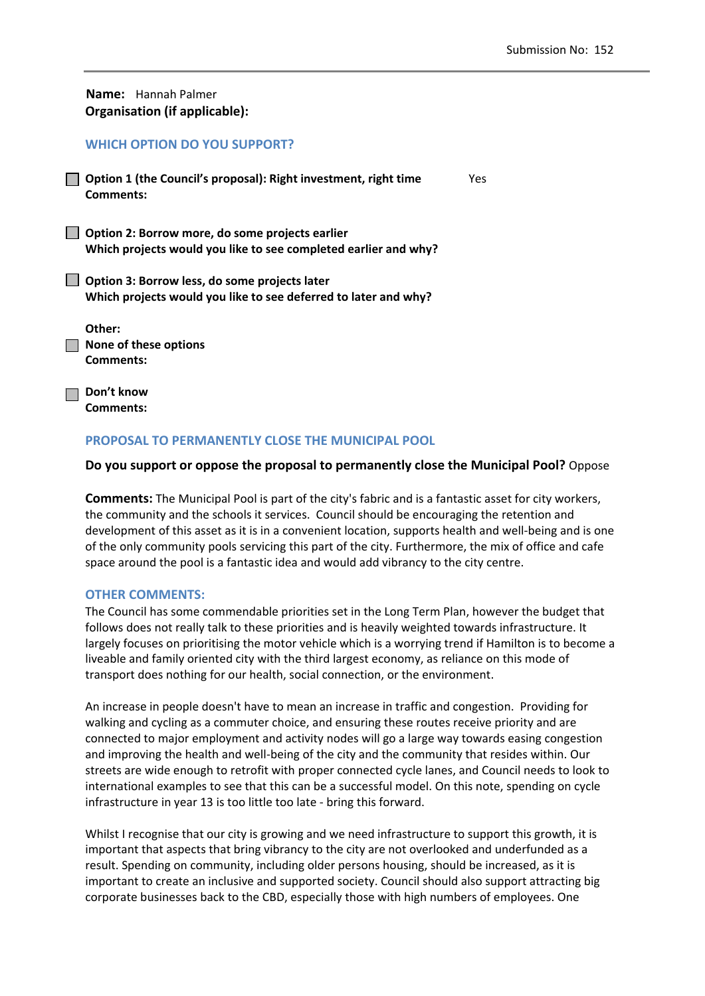**Name:** Hannah Palmer **Organisation (if applicable):**

## **WHICH OPTION DO YOU SUPPORT?**

**Option 1 (the Council's proposal): Right investment, right time**  Yes **Comments:** 

**Option 2: Borrow more, do some projects earlier Which projects would you like to see completed earlier and why?**

**Option 3: Borrow less, do some projects later Which projects would you like to see deferred to later and why?**

| Other:                       |
|------------------------------|
| $\Box$ None of these options |
| Comments:                    |

**Don't know Comments:** 

## **PROPOSAL TO PERMANENTLY CLOSE THE MUNICIPAL POOL**

## **Do you support or oppose the proposal to permanently close the Municipal Pool?** Oppose

**Comments:** The Municipal Pool is part of the city's fabric and is a fantastic asset for city workers, the community and the schools it services. Council should be encouraging the retention and development of this asset as it is in a convenient location, supports health and well‐being and is one of the only community pools servicing this part of the city. Furthermore, the mix of office and cafe space around the pool is a fantastic idea and would add vibrancy to the city centre.

## **OTHER COMMENTS:**

The Council has some commendable priorities set in the Long Term Plan, however the budget that follows does not really talk to these priorities and is heavily weighted towards infrastructure. It largely focuses on prioritising the motor vehicle which is a worrying trend if Hamilton is to become a liveable and family oriented city with the third largest economy, as reliance on this mode of transport does nothing for our health, social connection, or the environment.

An increase in people doesn't have to mean an increase in traffic and congestion. Providing for walking and cycling as a commuter choice, and ensuring these routes receive priority and are connected to major employment and activity nodes will go a large way towards easing congestion and improving the health and well‐being of the city and the community that resides within. Our streets are wide enough to retrofit with proper connected cycle lanes, and Council needs to look to international examples to see that this can be a successful model. On this note, spending on cycle infrastructure in year 13 is too little too late ‐ bring this forward.

Whilst I recognise that our city is growing and we need infrastructure to support this growth, it is important that aspects that bring vibrancy to the city are not overlooked and underfunded as a result. Spending on community, including older persons housing, should be increased, as it is important to create an inclusive and supported society. Council should also support attracting big corporate businesses back to the CBD, especially those with high numbers of employees. One